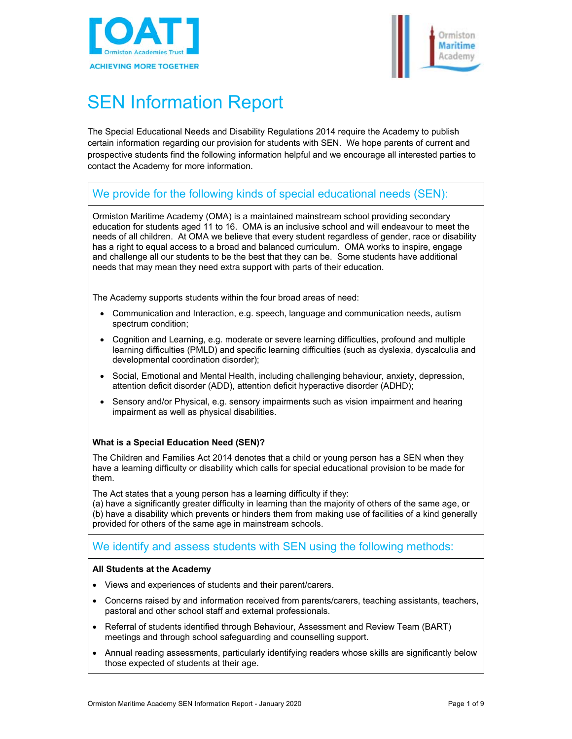



# SEN Information Report

The Special Educational Needs and Disability Regulations 2014 require the Academy to publish certain information regarding our provision for students with SEN. We hope parents of current and prospective students find the following information helpful and we encourage all interested parties to contact the Academy for more information.

# We provide for the following kinds of special educational needs (SEN):

Ormiston Maritime Academy (OMA) is a maintained mainstream school providing secondary education for students aged 11 to 16. OMA is an inclusive school and will endeavour to meet the needs of all children. At OMA we believe that every student regardless of gender, race or disability has a right to equal access to a broad and balanced curriculum. OMA works to inspire, engage and challenge all our students to be the best that they can be. Some students have additional needs that may mean they need extra support with parts of their education.

The Academy supports students within the four broad areas of need:

- Communication and Interaction, e.g. speech, language and communication needs, autism spectrum condition;
- Cognition and Learning, e.g. moderate or severe learning difficulties, profound and multiple learning difficulties (PMLD) and specific learning difficulties (such as dyslexia, dyscalculia and developmental coordination disorder);
- Social, Emotional and Mental Health, including challenging behaviour, anxiety, depression, attention deficit disorder (ADD), attention deficit hyperactive disorder (ADHD);
- Sensory and/or Physical, e.g. sensory impairments such as vision impairment and hearing impairment as well as physical disabilities.

#### **What is a Special Education Need (SEN)?**

The Children and Families Act 2014 denotes that a child or young person has a SEN when they have a learning difficulty or disability which calls for special educational provision to be made for them.

The Act states that a young person has a learning difficulty if they:

(a) have a significantly greater difficulty in learning than the majority of others of the same age, or (b) have a disability which prevents or hinders them from making use of facilities of a kind generally provided for others of the same age in mainstream schools.

# We identify and assess students with SEN using the following methods:

#### **All Students at the Academy**

- Views and experiences of students and their parent/carers.
- Concerns raised by and information received from parents/carers, teaching assistants, teachers, pastoral and other school staff and external professionals.
- Referral of students identified through Behaviour, Assessment and Review Team (BART) meetings and through school safeguarding and counselling support.
- Annual reading assessments, particularly identifying readers whose skills are significantly below those expected of students at their age.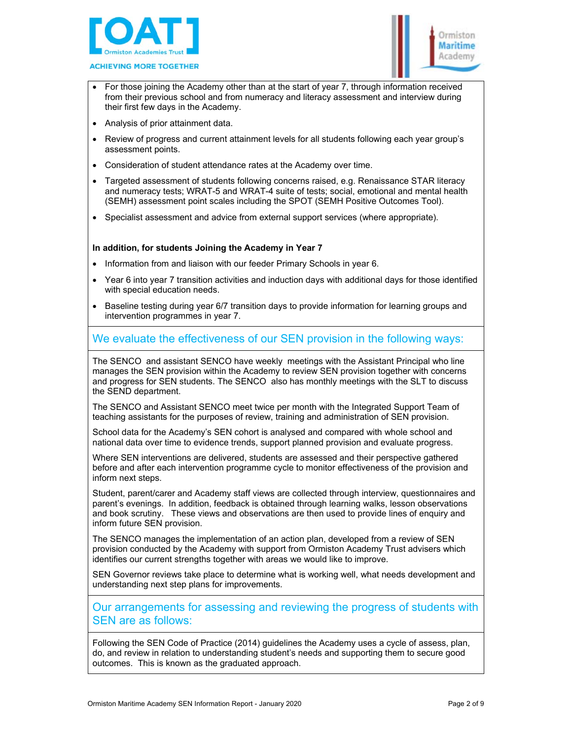



- For those joining the Academy other than at the start of year 7, through information received from their previous school and from numeracy and literacy assessment and interview during their first few days in the Academy.
- Analysis of prior attainment data.
- Review of progress and current attainment levels for all students following each year group's assessment points.
- Consideration of student attendance rates at the Academy over time.
- Targeted assessment of students following concerns raised, e.g. Renaissance STAR literacy and numeracy tests; WRAT-5 and WRAT-4 suite of tests; social, emotional and mental health (SEMH) assessment point scales including the SPOT (SEMH Positive Outcomes Tool).
- Specialist assessment and advice from external support services (where appropriate).

#### **In addition, for students Joining the Academy in Year 7**

- Information from and liaison with our feeder Primary Schools in year 6.
- Year 6 into year 7 transition activities and induction days with additional days for those identified with special education needs.
- Baseline testing during year 6/7 transition days to provide information for learning groups and intervention programmes in year 7.

# We evaluate the effectiveness of our SEN provision in the following ways:

The SENCO and assistant SENCO have weekly meetings with the Assistant Principal who line manages the SEN provision within the Academy to review SEN provision together with concerns and progress for SEN students. The SENCO also has monthly meetings with the SLT to discuss the SEND department.

The SENCO and Assistant SENCO meet twice per month with the Integrated Support Team of teaching assistants for the purposes of review, training and administration of SEN provision.

School data for the Academy's SEN cohort is analysed and compared with whole school and national data over time to evidence trends, support planned provision and evaluate progress.

Where SEN interventions are delivered, students are assessed and their perspective gathered before and after each intervention programme cycle to monitor effectiveness of the provision and inform next steps.

Student, parent/carer and Academy staff views are collected through interview, questionnaires and parent's evenings. In addition, feedback is obtained through learning walks, lesson observations and book scrutiny. These views and observations are then used to provide lines of enquiry and inform future SEN provision.

The SENCO manages the implementation of an action plan, developed from a review of SEN provision conducted by the Academy with support from Ormiston Academy Trust advisers which identifies our current strengths together with areas we would like to improve.

SEN Governor reviews take place to determine what is working well, what needs development and understanding next step plans for improvements.

Our arrangements for assessing and reviewing the progress of students with SEN are as follows:

Following the SEN Code of Practice (2014) guidelines the Academy uses a cycle of assess, plan, do, and review in relation to understanding student's needs and supporting them to secure good outcomes. This is known as the graduated approach.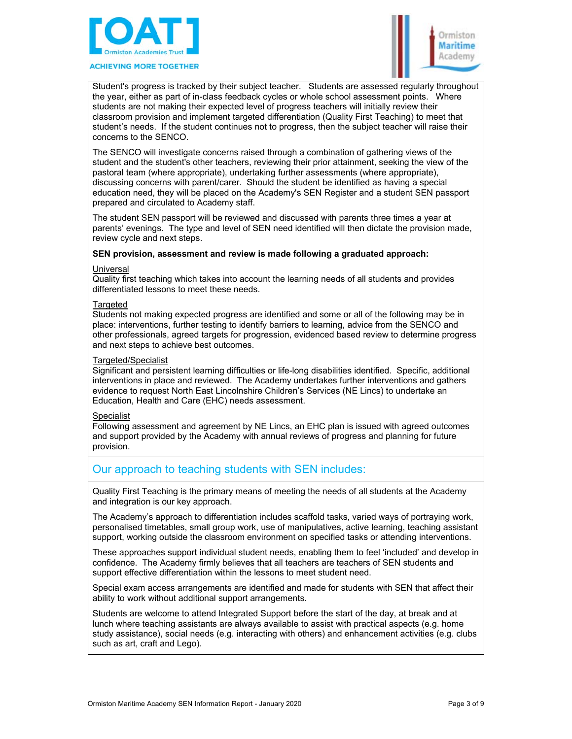

**ACHIEVING MORE TOGETHER** 



Student's progress is tracked by their subject teacher. Students are assessed regularly throughout the year, either as part of in-class feedback cycles or whole school assessment points. Where students are not making their expected level of progress teachers will initially review their classroom provision and implement targeted differentiation (Quality First Teaching) to meet that student's needs. If the student continues not to progress, then the subject teacher will raise their concerns to the SENCO.

The SENCO will investigate concerns raised through a combination of gathering views of the student and the student's other teachers, reviewing their prior attainment, seeking the view of the pastoral team (where appropriate), undertaking further assessments (where appropriate), discussing concerns with parent/carer. Should the student be identified as having a special education need, they will be placed on the Academy's SEN Register and a student SEN passport prepared and circulated to Academy staff.

The student SEN passport will be reviewed and discussed with parents three times a year at parents' evenings. The type and level of SEN need identified will then dictate the provision made, review cycle and next steps.

#### **SEN provision, assessment and review is made following a graduated approach:**

#### **Universal**

Quality first teaching which takes into account the learning needs of all students and provides differentiated lessons to meet these needs.

#### **Targeted**

Students not making expected progress are identified and some or all of the following may be in place: interventions, further testing to identify barriers to learning, advice from the SENCO and other professionals, agreed targets for progression, evidenced based review to determine progress and next steps to achieve best outcomes.

#### Targeted/Specialist

Significant and persistent learning difficulties or life-long disabilities identified. Specific, additional interventions in place and reviewed. The Academy undertakes further interventions and gathers evidence to request North East Lincolnshire Children's Services (NE Lincs) to undertake an Education, Health and Care (EHC) needs assessment.

#### Specialist

Following assessment and agreement by NE Lincs, an EHC plan is issued with agreed outcomes and support provided by the Academy with annual reviews of progress and planning for future provision.

### Our approach to teaching students with SEN includes:

Quality First Teaching is the primary means of meeting the needs of all students at the Academy and integration is our key approach.

The Academy's approach to differentiation includes scaffold tasks, varied ways of portraying work, personalised timetables, small group work, use of manipulatives, active learning, teaching assistant support, working outside the classroom environment on specified tasks or attending interventions.

These approaches support individual student needs, enabling them to feel 'included' and develop in confidence. The Academy firmly believes that all teachers are teachers of SEN students and support effective differentiation within the lessons to meet student need.

Special exam access arrangements are identified and made for students with SEN that affect their ability to work without additional support arrangements.

Students are welcome to attend Integrated Support before the start of the day, at break and at lunch where teaching assistants are always available to assist with practical aspects (e.g. home study assistance), social needs (e.g. interacting with others) and enhancement activities (e.g. clubs such as art, craft and Lego).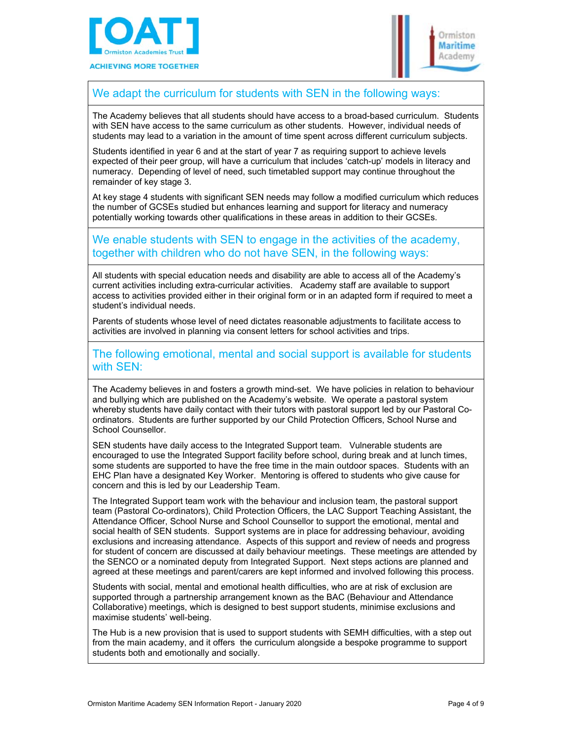



# We adapt the curriculum for students with SEN in the following ways:

The Academy believes that all students should have access to a broad-based curriculum. Students with SEN have access to the same curriculum as other students. However, individual needs of students may lead to a variation in the amount of time spent across different curriculum subjects.

Students identified in year 6 and at the start of year 7 as requiring support to achieve levels expected of their peer group, will have a curriculum that includes 'catch-up' models in literacy and numeracy. Depending of level of need, such timetabled support may continue throughout the remainder of key stage 3.

At key stage 4 students with significant SEN needs may follow a modified curriculum which reduces the number of GCSEs studied but enhances learning and support for literacy and numeracy potentially working towards other qualifications in these areas in addition to their GCSEs.

# We enable students with SEN to engage in the activities of the academy, together with children who do not have SEN, in the following ways:

All students with special education needs and disability are able to access all of the Academy's current activities including extra-curricular activities. Academy staff are available to support access to activities provided either in their original form or in an adapted form if required to meet a student's individual needs.

Parents of students whose level of need dictates reasonable adjustments to facilitate access to activities are involved in planning via consent letters for school activities and trips.

The following emotional, mental and social support is available for students with SEN:

The Academy believes in and fosters a growth mind-set. We have policies in relation to behaviour and bullying which are published on the Academy's website. We operate a pastoral system whereby students have daily contact with their tutors with pastoral support led by our Pastoral Coordinators. Students are further supported by our Child Protection Officers, School Nurse and School Counsellor.

SEN students have daily access to the Integrated Support team. Vulnerable students are encouraged to use the Integrated Support facility before school, during break and at lunch times, some students are supported to have the free time in the main outdoor spaces. Students with an EHC Plan have a designated Key Worker. Mentoring is offered to students who give cause for concern and this is led by our Leadership Team.

The Integrated Support team work with the behaviour and inclusion team, the pastoral support team (Pastoral Co-ordinators), Child Protection Officers, the LAC Support Teaching Assistant, the Attendance Officer, School Nurse and School Counsellor to support the emotional, mental and social health of SEN students. Support systems are in place for addressing behaviour, avoiding exclusions and increasing attendance. Aspects of this support and review of needs and progress for student of concern are discussed at daily behaviour meetings. These meetings are attended by the SENCO or a nominated deputy from Integrated Support. Next steps actions are planned and agreed at these meetings and parent/carers are kept informed and involved following this process.

Students with social, mental and emotional health difficulties, who are at risk of exclusion are supported through a partnership arrangement known as the BAC (Behaviour and Attendance Collaborative) meetings, which is designed to best support students, minimise exclusions and maximise students' well-being.

The Hub is a new provision that is used to support students with SEMH difficulties, with a step out from the main academy, and it offers the curriculum alongside a bespoke programme to support students both and emotionally and socially.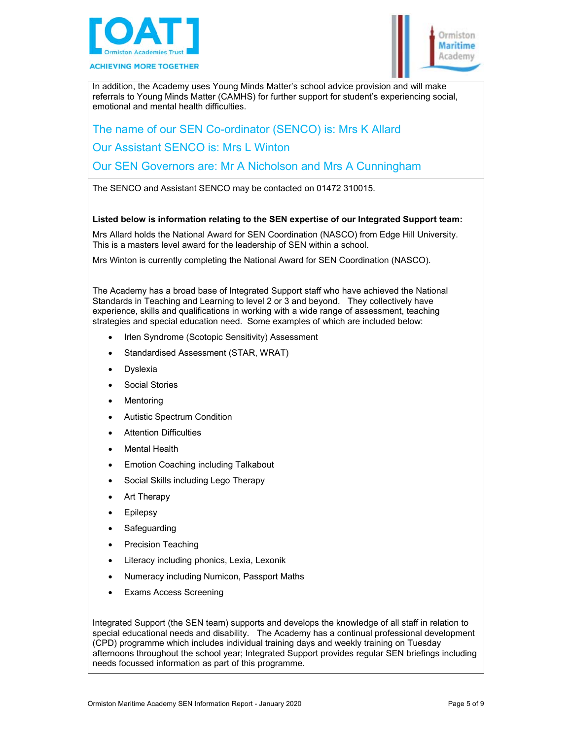



In addition, the Academy uses Young Minds Matter's school advice provision and will make referrals to Young Minds Matter (CAMHS) for further support for student's experiencing social, emotional and mental health difficulties.

The name of our SEN Co-ordinator (SENCO) is: Mrs K Allard

Our Assistant SENCO is: Mrs L Winton

Our SEN Governors are: Mr A Nicholson and Mrs A Cunningham

The SENCO and Assistant SENCO may be contacted on 01472 310015.

#### **Listed below is information relating to the SEN expertise of our Integrated Support team:**

Mrs Allard holds the National Award for SEN Coordination (NASCO) from Edge Hill University. This is a masters level award for the leadership of SEN within a school.

Mrs Winton is currently completing the National Award for SEN Coordination (NASCO).

The Academy has a broad base of Integrated Support staff who have achieved the National Standards in Teaching and Learning to level 2 or 3 and beyond. They collectively have experience, skills and qualifications in working with a wide range of assessment, teaching strategies and special education need. Some examples of which are included below:

- Irlen Syndrome (Scotopic Sensitivity) Assessment
- Standardised Assessment (STAR, WRAT)
- Dyslexia
- Social Stories
- Mentoring
- Autistic Spectrum Condition
- Attention Difficulties
- Mental Health
- Emotion Coaching including Talkabout
- Social Skills including Lego Therapy
- Art Therapy
- Epilepsy
- Safeguarding
- Precision Teaching
- Literacy including phonics, Lexia, Lexonik
- Numeracy including Numicon, Passport Maths
- Exams Access Screening

Integrated Support (the SEN team) supports and develops the knowledge of all staff in relation to special educational needs and disability. The Academy has a continual professional development (CPD) programme which includes individual training days and weekly training on Tuesday afternoons throughout the school year; Integrated Support provides regular SEN briefings including needs focussed information as part of this programme.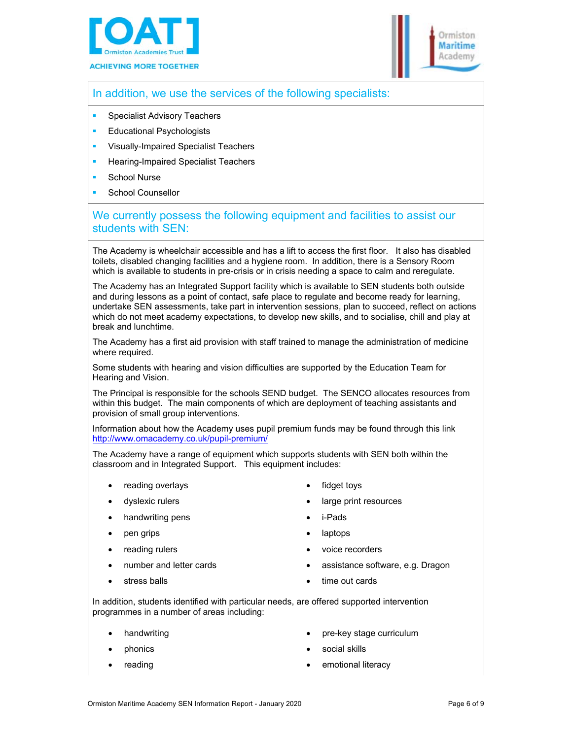



# In addition, we use the services of the following specialists:

- Specialist Advisory Teachers
- **Educational Psychologists**
- Visually-Impaired Specialist Teachers
- Hearing-Impaired Specialist Teachers
- School Nurse
- School Counsellor

# We currently possess the following equipment and facilities to assist our students with SEN:

The Academy is wheelchair accessible and has a lift to access the first floor. It also has disabled toilets, disabled changing facilities and a hygiene room. In addition, there is a Sensory Room which is available to students in pre-crisis or in crisis needing a space to calm and reregulate.

The Academy has an Integrated Support facility which is available to SEN students both outside and during lessons as a point of contact, safe place to regulate and become ready for learning, undertake SEN assessments, take part in intervention sessions, plan to succeed, reflect on actions which do not meet academy expectations, to develop new skills, and to socialise, chill and play at break and lunchtime.

The Academy has a first aid provision with staff trained to manage the administration of medicine where required.

Some students with hearing and vision difficulties are supported by the Education Team for Hearing and Vision.

The Principal is responsible for the schools SEND budget. The SENCO allocates resources from within this budget. The main components of which are deployment of teaching assistants and provision of small group interventions.

Information about how the Academy uses pupil premium funds may be found through this link http://www.omacademy.co.uk/pupil-premium/

The Academy have a range of equipment which supports students with SEN both within the classroom and in Integrated Support. This equipment includes:

- reading overlays
- dyslexic rulers
- handwriting pens
- pen grips
- reading rulers
- number and letter cards
	- stress balls

i-Pads

fidget toys

large print resources

- laptops
- voice recorders
- assistance software, e.g. Dragon
- time out cards

In addition, students identified with particular needs, are offered supported intervention programmes in a number of areas including:

- handwriting
- phonics
- reading
- pre-key stage curriculum
- social skills
- emotional literacy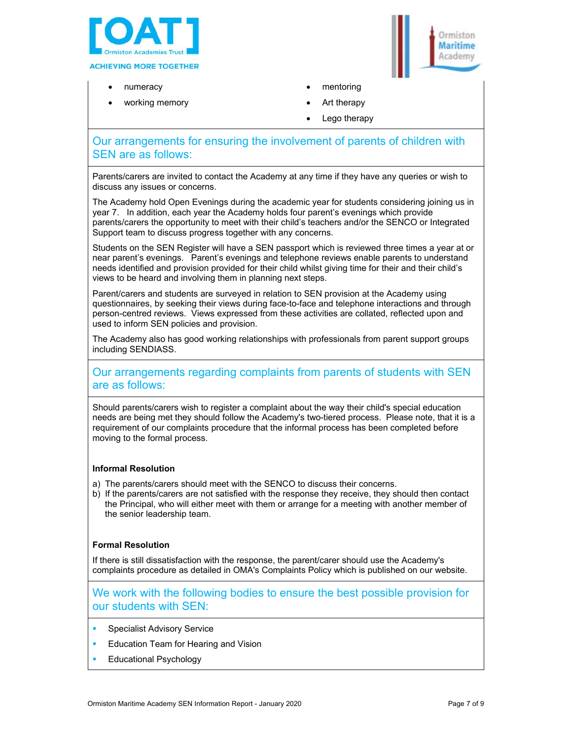

- numeracy
- working memory
- Ormicton **Maritime** Academy
- mentoring
- Art therapy
- Lego therapy

# Our arrangements for ensuring the involvement of parents of children with SEN are as follows:

Parents/carers are invited to contact the Academy at any time if they have any queries or wish to discuss any issues or concerns.

The Academy hold Open Evenings during the academic year for students considering joining us in year 7. In addition, each year the Academy holds four parent's evenings which provide parents/carers the opportunity to meet with their child's teachers and/or the SENCO or Integrated Support team to discuss progress together with any concerns.

Students on the SEN Register will have a SEN passport which is reviewed three times a year at or near parent's evenings. Parent's evenings and telephone reviews enable parents to understand needs identified and provision provided for their child whilst giving time for their and their child's views to be heard and involving them in planning next steps.

Parent/carers and students are surveyed in relation to SEN provision at the Academy using questionnaires, by seeking their views during face-to-face and telephone interactions and through person-centred reviews. Views expressed from these activities are collated, reflected upon and used to inform SEN policies and provision.

The Academy also has good working relationships with professionals from parent support groups including SENDIASS.

# Our arrangements regarding complaints from parents of students with SEN are as follows:

Should parents/carers wish to register a complaint about the way their child's special education needs are being met they should follow the Academy's two-tiered process. Please note, that it is a requirement of our complaints procedure that the informal process has been completed before moving to the formal process.

#### **Informal Resolution**

- a) The parents/carers should meet with the SENCO to discuss their concerns.
- b) If the parents/carers are not satisfied with the response they receive, they should then contact the Principal, who will either meet with them or arrange for a meeting with another member of the senior leadership team.

#### **Formal Resolution**

If there is still dissatisfaction with the response, the parent/carer should use the Academy's complaints procedure as detailed in OMA's Complaints Policy which is published on our website.

We work with the following bodies to ensure the best possible provision for our students with SEN:

- Specialist Advisory Service
- Education Team for Hearing and Vision
- Educational Psychology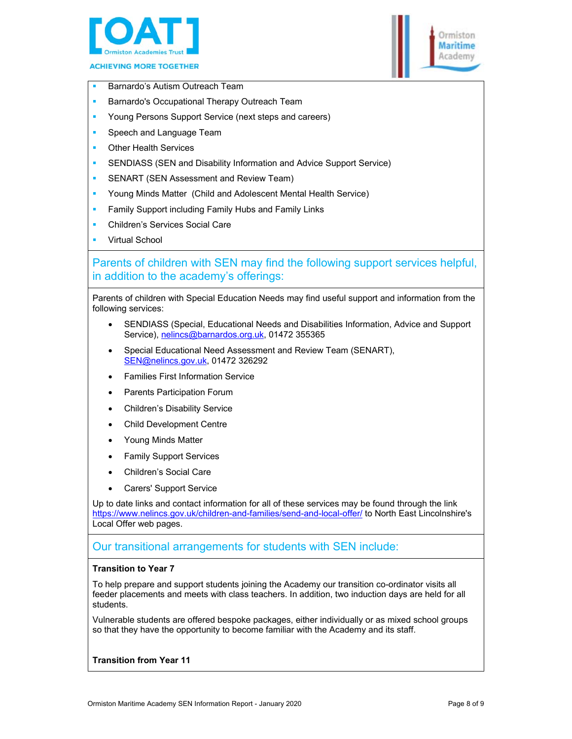



- Barnardo's Autism Outreach Team
- Barnardo's Occupational Therapy Outreach Team
- Young Persons Support Service (next steps and careers)
- **Speech and Language Team**
- Other Health Services
- **SENDIASS (SEN and Disability Information and Advice Support Service)**
- SENART (SEN Assessment and Review Team)
- Young Minds Matter (Child and Adolescent Mental Health Service)
- Family Support including Family Hubs and Family Links
- Children's Services Social Care
- Virtual School

# Parents of children with SEN may find the following support services helpful, in addition to the academy's offerings:

Parents of children with Special Education Needs may find useful support and information from the following services:

- SENDIASS (Special, Educational Needs and Disabilities Information, Advice and Support Service), nelincs@barnardos.org.uk, 01472 355365
- Special Educational Need Assessment and Review Team (SENART), SEN@nelincs.gov.uk, 01472 326292
- Families First Information Service
- Parents Participation Forum
- Children's Disability Service
- Child Development Centre
- Young Minds Matter
- Family Support Services
- Children's Social Care
- Carers' Support Service

Up to date links and contact information for all of these services may be found through the link https://www.nelincs.gov.uk/children-and-families/send-and-local-offer/ to North East Lincolnshire's Local Offer web pages.

### Our transitional arrangements for students with SEN include:

#### **Transition to Year 7**

To help prepare and support students joining the Academy our transition co-ordinator visits all feeder placements and meets with class teachers. In addition, two induction days are held for all students.

Vulnerable students are offered bespoke packages, either individually or as mixed school groups so that they have the opportunity to become familiar with the Academy and its staff.

#### **Transition from Year 11**